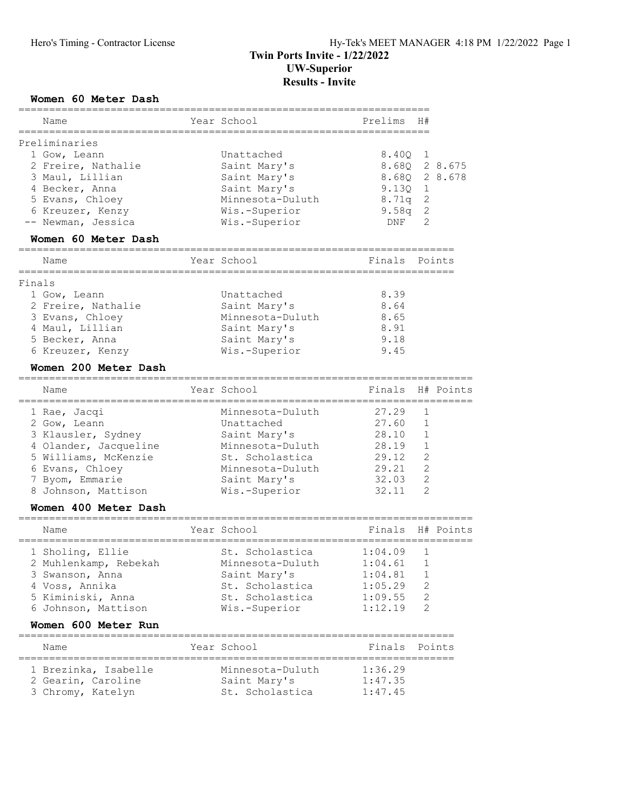# Results - Invite

#### Women 60 Meter Dash

| Name                  | Year School<br>-------------------------------- | Prelims          | H#             |               |
|-----------------------|-------------------------------------------------|------------------|----------------|---------------|
| Preliminaries         |                                                 |                  |                |               |
| 1 Gow, Leann          | Unattached                                      | 8.40Q            | 1              |               |
| 2 Freire, Nathalie    | Saint Mary's                                    |                  |                | 8.68Q 2 8.675 |
| 3 Maul, Lillian       | Saint Mary's                                    |                  |                | 8.68Q 2 8.678 |
| 4 Becker, Anna        | Saint Mary's                                    | $9.130 \quad 1$  |                |               |
| 5 Evans, Chloey       | Minnesota-Duluth                                | 8.71q 2          |                |               |
|                       |                                                 |                  |                |               |
| 6 Kreuzer, Kenzy      | Wis.-Superior                                   | $9.58q$ 2        |                |               |
| -- Newman, Jessica    | Wis.-Superior                                   | DNF              | 2              |               |
| Women 60 Meter Dash   | ==================================              |                  |                |               |
| Name                  | Year School                                     | Finals           |                | Points        |
| Finals                |                                                 |                  |                |               |
| 1 Gow, Leann          | Unattached                                      | 8.39             |                |               |
| 2 Freire, Nathalie    | Saint Mary's                                    | 8.64             |                |               |
| 3 Evans, Chloey       | Minnesota-Duluth                                | 8.65             |                |               |
| 4 Maul, Lillian       | Saint Mary's                                    | 8.91             |                |               |
| 5 Becker, Anna        | Saint Mary's                                    | 9.18             |                |               |
| 6 Kreuzer, Kenzy      | Wis.-Superior                                   | 9.45             |                |               |
|                       |                                                 |                  |                |               |
| Women 200 Meter Dash  |                                                 |                  |                |               |
| Name                  | Year School                                     | Finals<br>====== |                | H# Points     |
| 1 Rae, Jacqi          | Minnesota-Duluth                                | 27.29            | 1              |               |
| 2 Gow, Leann          | Unattached                                      | 27.60            | 1              |               |
| 3 Klausler, Sydney    | Saint Mary's                                    | 28.10            | 1              |               |
| 4 Olander, Jacqueline | Minnesota-Duluth                                | 28.19            | 1              |               |
| 5 Williams, McKenzie  | St. Scholastica                                 | 29.12            | 2              |               |
| 6 Evans, Chloey       | Minnesota-Duluth                                | 29.21            | 2              |               |
| 7 Byom, Emmarie       | Saint Mary's                                    | 32.03            | 2              |               |
|                       |                                                 | 32.11            | $\overline{2}$ |               |
| 8 Johnson, Mattison   | Wis.-Superior                                   |                  |                |               |
| Women 400 Meter Dash  |                                                 |                  |                |               |
| Name                  | Year School                                     | Finals           |                | H# Points     |
| 1 Sholing, Ellie      | St. Scholastica                                 | 1:04.09          | 1              |               |
| 2 Muhlenkamp, Rebekah | Minnesota-Duluth 1:04.61 1                      |                  |                |               |
| 3 Swanson, Anna       | Saint Mary's                                    | 1:04.81          | 1              |               |
| 4 Voss, Annika        | St. Scholastica                                 | 1:05.29          | 2              |               |
| 5 Kiminiski, Anna     | St. Scholastica                                 | 1:09.55          | 2              |               |
| 6 Johnson, Mattison   | Wis.-Superior                                   | 1:12.19          | $\overline{2}$ |               |
| Women 600 Meter Run   |                                                 |                  |                |               |
| Name                  | Year School                                     | Finals           |                | Points        |
| 1 Brezinka, Isabelle  | Minnesota-Duluth                                | 1:36.29          |                |               |
|                       | Saint Mary's                                    | 1:47.35          |                |               |
| 2 Gearin, Caroline    |                                                 |                  |                |               |
| 3 Chromy, Katelyn     | St. Scholastica                                 | 1:47.45          |                |               |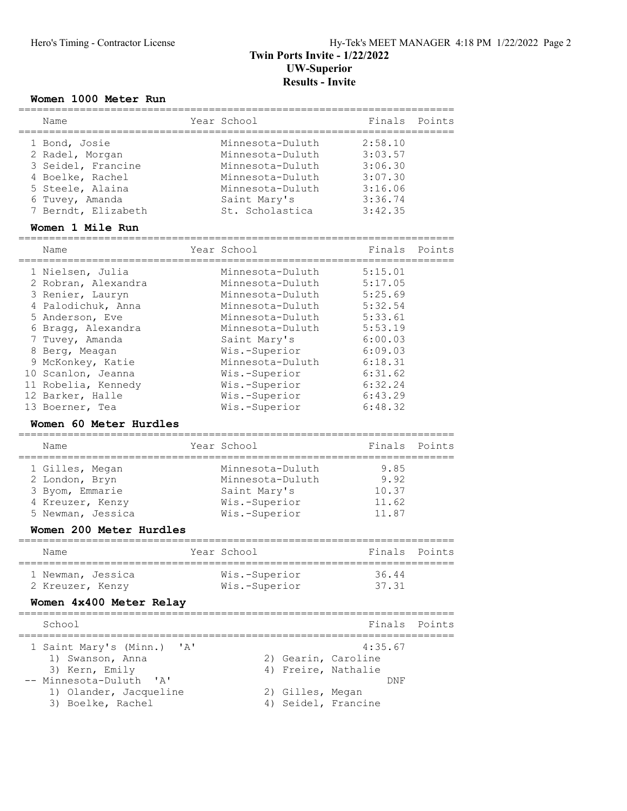### Women 1000 Meter Run

| Name                                                                                                                                                                                                                                                                                               |                                     | Year School                                                                                                                                                                                                                                   | Finals                                                                                                                                      | Points |
|----------------------------------------------------------------------------------------------------------------------------------------------------------------------------------------------------------------------------------------------------------------------------------------------------|-------------------------------------|-----------------------------------------------------------------------------------------------------------------------------------------------------------------------------------------------------------------------------------------------|---------------------------------------------------------------------------------------------------------------------------------------------|--------|
| -----------<br>1 Bond, Josie<br>2 Radel, Morgan<br>3 Seidel, Francine<br>4 Boelke, Rachel<br>5 Steele, Alaina<br>6 Tuvey, Amanda<br>7 Berndt, Elizabeth                                                                                                                                            | ===========                         | Minnesota-Duluth<br>Minnesota-Duluth<br>Minnesota-Duluth<br>Minnesota-Duluth<br>Minnesota-Duluth<br>Saint Mary's<br>St. Scholastica                                                                                                           | 2:58.10<br>3:03.57<br>3:06.30<br>3:07.30<br>3:16.06<br>3:36.74<br>3:42.35                                                                   |        |
| Women 1 Mile Run                                                                                                                                                                                                                                                                                   |                                     |                                                                                                                                                                                                                                               |                                                                                                                                             |        |
| Name<br>=============                                                                                                                                                                                                                                                                              |                                     | Year School                                                                                                                                                                                                                                   | Finals                                                                                                                                      | Points |
| 1 Nielsen, Julia<br>2 Robran, Alexandra<br>3 Renier, Lauryn<br>4 Palodichuk, Anna<br>5 Anderson, Eve<br>6 Bragg, Alexandra<br>7 Tuvey, Amanda<br>8 Berg, Meagan<br>9 McKonkey, Katie<br>10 Scanlon, Jeanna<br>11 Robelia, Kennedy<br>12 Barker, Halle<br>13 Boerner, Tea<br>Women 60 Meter Hurdles |                                     | Minnesota-Duluth<br>Minnesota-Duluth<br>Minnesota-Duluth<br>Minnesota-Duluth<br>Minnesota-Duluth<br>Minnesota-Duluth<br>Saint Mary's<br>Wis.-Superior<br>Minnesota-Duluth<br>Wis.-Superior<br>Wis.-Superior<br>Wis.-Superior<br>Wis.-Superior | 5:15.01<br>5:17.05<br>5:25.69<br>5:32.54<br>5:33.61<br>5:53.19<br>6:00.03<br>6:09.03<br>6:18.31<br>6:31.62<br>6:32.24<br>6:43.29<br>6:48.32 |        |
| ==============================<br>Name                                                                                                                                                                                                                                                             |                                     | Year School                                                                                                                                                                                                                                   | Finals                                                                                                                                      | Points |
| 1 Gilles, Megan<br>2 London, Bryn<br>3 Byom, Emmarie<br>4 Kreuzer, Kenzy<br>5 Newman, Jessica<br>Women 200 Meter Hurdles                                                                                                                                                                           |                                     | Minnesota-Duluth<br>Minnesota-Duluth<br>Saint Mary's<br>Wis.-Superior<br>Wis.-Superior                                                                                                                                                        | 9.85<br>9.92<br>10.37<br>11.62<br>11.87                                                                                                     |        |
| Name                                                                                                                                                                                                                                                                                               |                                     | Year School                                                                                                                                                                                                                                   | ;===================<br>Finals                                                                                                              | Points |
| 1 Newman, Jessica<br>2 Kreuzer, Kenzy<br>Women 4x400 Meter Relay                                                                                                                                                                                                                                   |                                     | Wis.-Superior<br>Wis.-Superior                                                                                                                                                                                                                | 36.44<br>37.31                                                                                                                              |        |
| School                                                                                                                                                                                                                                                                                             |                                     |                                                                                                                                                                                                                                               | Finals                                                                                                                                      | Points |
| 1 Saint Mary's (Minn.)<br>1) Swanson, Anna<br>3) Kern, Emily<br>-- Minnesota-Duluth<br>$^{\prime}$ A <sup><math>^{\prime}</math></sup><br>1) Olander, Jacqueline<br>3) Boelke, Rachel                                                                                                              | $\mathsf{r}_{\mathsf{A}}\mathsf{r}$ | 2) Gearin, Caroline<br>4) Freire, Nathalie<br>2) Gilles, Megan<br>4) Seidel, Francine                                                                                                                                                         | 4:35.67<br>DNF                                                                                                                              |        |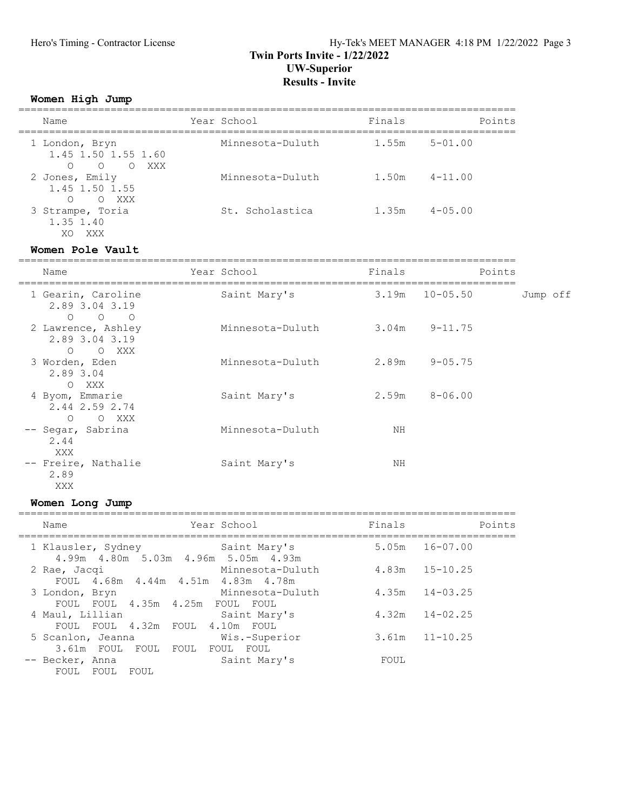### Hero's Timing - Contractor License Hy-Tek's MEET MANAGER 4:18 PM 1/22/2022 Page 3 Twin Ports Invite - 1/22/2022 UW-Superior Results - Invite

#### Women High Jump

| Name                                                                          | Year School      | Finals | Points      |
|-------------------------------------------------------------------------------|------------------|--------|-------------|
| 1 London, Bryn<br>1.45 1.50 1.55 1.60<br>XXX<br>$\bigcirc$<br>$\circ$ $\circ$ | Minnesota-Duluth | 1.55m  | $5 - 01.00$ |
| 2 Jones, Emily<br>1.45 1.50 1.55<br>$\bigcap$<br>O XXX                        | Minnesota-Duluth | 1.50m  | $4 - 11.00$ |
| 3 Strampe, Toria<br>1.35 1.40<br>XXX<br>XO                                    | St. Scholastica  | 1.35m  | $4 - 05.00$ |

#### Women Pole Vault

| Name<br>=========                                                                               | Year School      | Finals | Points            |          |  |
|-------------------------------------------------------------------------------------------------|------------------|--------|-------------------|----------|--|
| 1 Gearin, Caroline<br>2.89 3.04 3.19<br>$\circ$<br>$\begin{matrix} 0 & 0 \\ 0 & 0 \end{matrix}$ | Saint Mary's     | 3.19m  | $10 - 05.50$      | Jump off |  |
| 2 Lawrence, Ashley<br>2.89 3.04 3.19<br>$\Omega$<br>O XXX                                       | Minnesota-Duluth |        | $3.04m$ $9-11.75$ |          |  |
| 3 Worden, Eden<br>2.89 3.04<br>O XXX                                                            | Minnesota-Duluth |        | $2.89m$ $9-05.75$ |          |  |
| 4 Byom, Emmarie<br>2.44 2.59 2.74<br>$\circ$<br>O XXX                                           | Saint Mary's     | 2.59m  | $8 - 06.00$       |          |  |
| -- Segar, Sabrina<br>2.44<br>XXX                                                                | Minnesota-Duluth | ΝH     |                   |          |  |
| -- Freire, Nathalie<br>2.89<br>XXX                                                              | Saint Mary's     | ΝH     |                   |          |  |

# Women Long Jump

| Name                                                           | Year School                | Finals | Points             |
|----------------------------------------------------------------|----------------------------|--------|--------------------|
| 1 Klausler, Sydney<br>4.99m  4.80m  5.03m  4.96m  5.05m  4.93m | Saint Mary's               |        | $5.05m$ $16-07.00$ |
| 2 Rae, Jacqi<br>FOUL 4.68m 4.44m 4.51m 4.83m 4.78m             | Minnesota-Duluth           |        | $4.83m$ $15-10.25$ |
| 3 London, Bryn<br>FOUL FOUL 4.35m 4.25m FOUL FOUL              | Minnesota-Duluth           |        | $4.35m$ $14-03.25$ |
| 4 Maul, Lillian<br>FOUL FOUL 4.32m FOUL                        | Saint Mary's<br>4.10m FOUL | 4.32m  | $14 - 02.25$       |
| 5 Scanlon, Jeanna<br>3.61m FOUL<br>FOUL FOUL                   | Wis.-Superior<br>FOUL FOUL | 3.61m  | $11 - 10.25$       |
| -- Becker, Anna<br>FOUL FOUL<br>FOUL                           | Saint Mary's               | FOUL   |                    |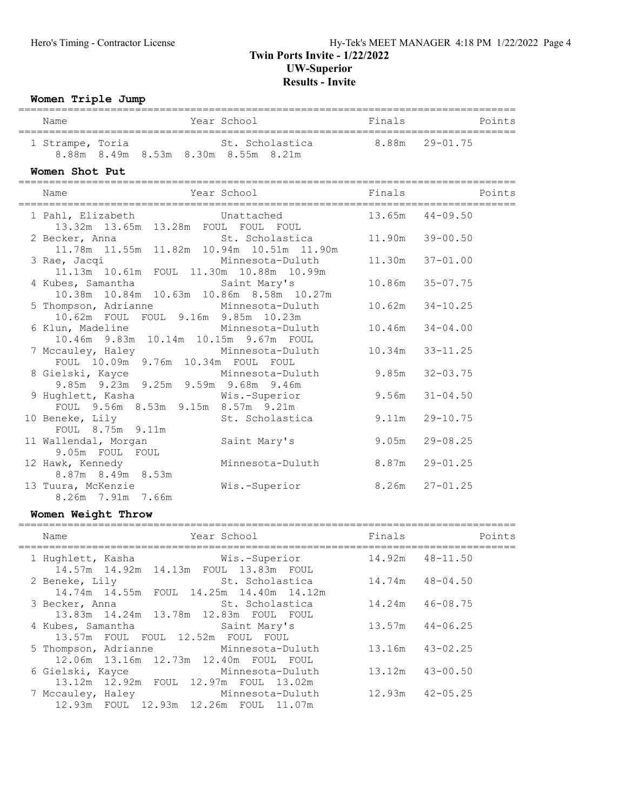#### Women Triple Jump ================================================================================= Name The Year School The Points Points Points ================================================================================= 1 Strampe, Toria St. Scholastica 8.88m 29-01.75 8.88m 8.49m 8.53m 8.30m 8.55m 8.21m Women Shot Put ================================================================================= Name Thals Mame Year School Times Points ================================================================================= 1 Pahl, Elizabeth Unattached<br>13.32m 13.65m 13.28m FOUL FOUL FOUL 13.32m 13.65m 13.28m FOUL FOUL FOUL 2 Becker, Anna St. Scholastica 11.90m 39-00.50 11.78m 11.55m 11.82m 10.94m 10.51m 11.90m 3 Rae, Jacqi Minnesota-Duluth 11.30m 37-01.00 11.13m 10.61m FOUL 11.30m 10.88m 10.99m 4 Kubes, Samantha Saint Mary's 10.86m 35-07.75 10.38m 10.84m 10.63m 10.86m 8.58m 10.27m 5 Thompson, Adrianne Minnesota-Duluth 10.62m 34-10.25 10.62m FOUL FOUL 9.16m 9.85m 10.23m 6 Klun, Madeline Minnesota-Duluth 10.46m 34-04.00 10.46m 9.83m 10.14m 10.15m 9.67m FOUL 7 Mccauley, Haley Minnesota-Duluth 10.34m 33-11.25 FOUL 10.09m 9.76m 10.34m FOUL FOUL 8 Gielski, Kayce Minnesota-Duluth 9.85m 32-03.75 9.85m 9.23m 9.25m 9.59m 9.68m 9.46m 9.00m 9.20m 9.20m 9.00m 9.00m 9.20m 9.00m 9.00m 9.56m 31-04.50 FOUL 9.56m 8.53m 9.15m 8.57m 9.21m 10 Beneke, Lily St. Scholastica 3.11m 29-10.75 FOUL 8.75m 9.11m 11 Wallendal, Morgan Saint Mary's 9.05m 29-08.25 9.05m FOUL FOUL 12 Hawk, Kennedy Minnesota-Duluth 8.87m 29-01.25 8.87m 8.49m 8.53m 13 Tuura, McKenzie Wis.-Superior 8.26m 27-01.25 8.26m 7.91m 7.66m

#### Women Weight Throw

| Year School<br>Name                                                                 | Finals              | Points       |
|-------------------------------------------------------------------------------------|---------------------|--------------|
| 14.57m 14.92m 14.13m FOUL 13.83m FOUL                                               | 14.92m 48-11.50     |              |
| St. Scholastica<br>2 Beneke, Lily<br>14.74m 14.55m FOUL 14.25m 14.40m 14.12m        | 14.74m              | 48-04.50     |
| St. Scholastica<br>3 Becker, Anna<br>13.83m  14.24m  13.78m  12.83m  FOUL  FOUL     | 14.24m              | $46 - 08.75$ |
| 4 Kubes, Samantha<br>Saint Mary's<br>13.57m FOUL FOUL 12.52m FOUL FOUL              | $13.57m$ $44-06.25$ |              |
| 5 Thompson, Adrianne Minnesota-Duluth<br>12.06m  13.16m  12.73m  12.40m  FOUL  FOUL | $13.16m$ $43-02.25$ |              |
| 6 Gielski, Kayce<br>Minnesota-Duluth<br>13.12m 12.92m FOUL 12.97m FOUL 13.02m       | 13.12m              | $43 - 00.50$ |
| 7 Mccauley, Haley Minnesota-Duluth<br>12.93m FOUL 12.93m 12.26m FOUL 11.07m         | $12.93m$ $42-05.25$ |              |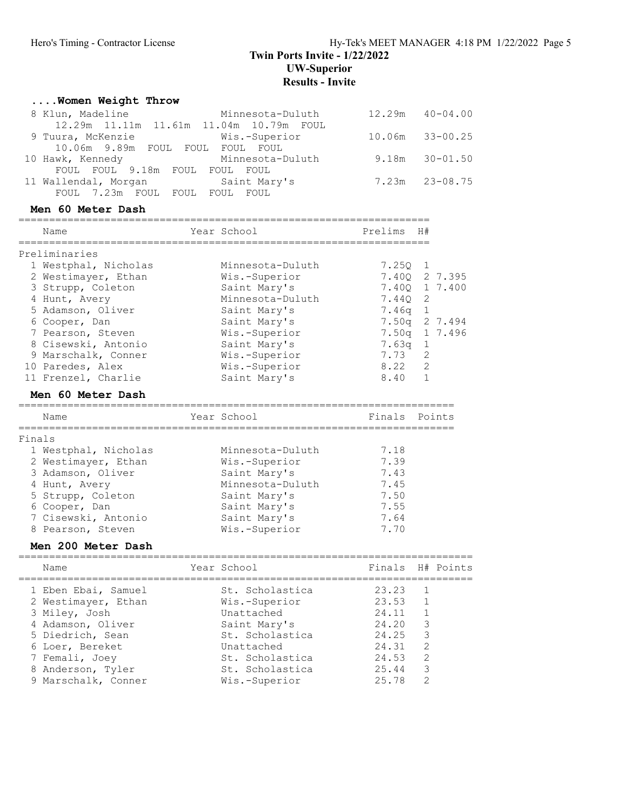### Twin Ports Invite - 1/22/2022 UW-Superior Results - Invite

#### ....Women Weight Throw 8 Klun, Madeline Minnesota-Duluth 12.29m 40-04.00 12.29m 11.11m 11.61m 11.04m 10.79m FOUL 9 Tuura, McKenzie Wis.-Superior 10.06m 33-00.25 10.06m 9.89m FOUL FOUL FOUL FOUL 10 Hawk, Kennedy Minnesota-Duluth 9.18m 30-01.50 FOUL FOUL 9.18m FOUL FOUL FOUL 11 Wallendal, Morgan Saint Mary's 7.23m 23-08.75 FOUL 7.23m FOUL FOUL FOUL FOUL Men 60 Meter Dash =================================================================== Name Year School Prelims H# =================================================================== Preliminaries 1 Westphal, Nicholas Minnesota-Duluth 7.25Q 1 2 Westimayer, Ethan Wis.-Superior 7.40Q 2 7.395 3 Strupp, Coleton Saint Mary's 7.40Q 1 7.400 4 Hunt, Avery Minnesota-Duluth 7.44Q 2 5 Adamson, Oliver Saint Mary's 7.46q 1 6 Cooper, Dan Saint Mary's 7.50q 2 7.494 7 Pearson, Steven Wis.-Superior 7.50q 1 7.496 8 Cisewski, Antonio Saint Mary's 7.63q 1 9 Marschalk, Conner Wis.-Superior 7.73 2 10 Paredes, Alex Wis.-Superior 8.22 2 11 Frenzel, Charlie Saint Mary's 8.40 1 Men 60 Meter Dash ======================================================================= Name The Year School The Finals Points ======================================================================= Finals 1 Westphal, Nicholas Minnesota-Duluth 7.18 2 Westimayer, Ethan Mis.-Superior 7.39 3 Adamson, Oliver Saint Mary's 3 Adamson, Oliver Saint Mary's T.43 4 Hunt, Avery Minnesota-Duluth 7.45 5 Strupp, Coleton Saint Mary's 7.50 6 Cooper, Dan Saint Mary's 7.55 7 Cisewski, Antonio Saint Mary's 7.64 8 Pearson, Steven Mis.-Superior 7.70 Men 200 Meter Dash ========================================================================== Name Year School Finals H# Points ========================================================================== 1 Eben Ebai, Samuel St. Scholastica 23.23 1 2 Westimayer, Ethan Wis.-Superior 23.53 1 3 Miley, Josh Unattached 24.11 1 4 Adamson, Oliver Saint Mary's 24.20 3 5 Diedrich, Sean St. Scholastica 24.25 3 6 Loer, Bereket Unattached 24.31 2 7 Femali, Joey St. Scholastica 24.53 2 8 Anderson, Tyler St. Scholastica 25.44 3 9 Marschalk, Conner Wis.-Superior 25.78 2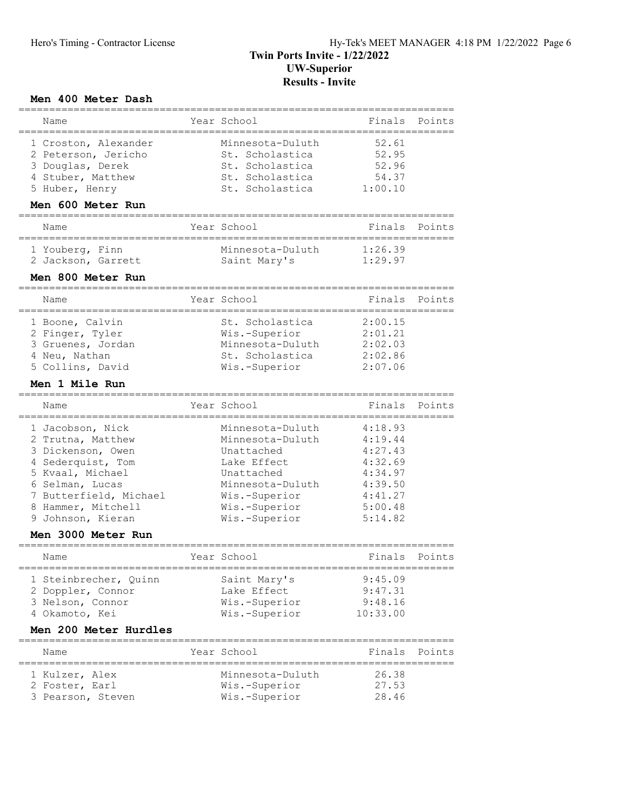#### Men 400 Meter Dash

| Name                                                                                                                                                                                                                  | Year School                                                                                                                                                                        | Finals                                                                                          | Points |
|-----------------------------------------------------------------------------------------------------------------------------------------------------------------------------------------------------------------------|------------------------------------------------------------------------------------------------------------------------------------------------------------------------------------|-------------------------------------------------------------------------------------------------|--------|
| 1 Croston, Alexander<br>2 Peterson, Jericho<br>3 Douglas, Derek<br>4 Stuber, Matthew<br>5 Huber, Henry<br>Men 600 Meter Run                                                                                           | Minnesota-Duluth<br>St. Scholastica<br>St. Scholastica<br>St. Scholastica<br>St. Scholastica                                                                                       | 52.61<br>52.95<br>52.96<br>54.37<br>1:00.10                                                     |        |
| Name                                                                                                                                                                                                                  | Year School                                                                                                                                                                        | Finals                                                                                          | Points |
| ==================<br>1 Youberg, Finn<br>2 Jackson, Garrett                                                                                                                                                           | ____________________________<br>Minnesota-Duluth<br>Saint Mary's                                                                                                                   | 1:26.39<br>1:29.97                                                                              |        |
| Men 800 Meter Run                                                                                                                                                                                                     | ------------------------                                                                                                                                                           |                                                                                                 |        |
| Name                                                                                                                                                                                                                  | Year School                                                                                                                                                                        | Finals                                                                                          | Points |
| 1 Boone, Calvin<br>2 Finger, Tyler<br>3 Gruenes, Jordan<br>4 Neu, Nathan<br>5 Collins, David                                                                                                                          | St. Scholastica<br>Wis.-Superior<br>Minnesota-Duluth<br>St. Scholastica<br>Wis.-Superior                                                                                           | 2:00.15<br>2:01.21<br>2:02.03<br>2:02.86<br>2:07.06                                             |        |
| Men 1 Mile Run                                                                                                                                                                                                        |                                                                                                                                                                                    |                                                                                                 |        |
| Name                                                                                                                                                                                                                  | Year School                                                                                                                                                                        | Finals                                                                                          | Points |
| ======================<br>1 Jacobson, Nick<br>2 Trutna, Matthew<br>3 Dickenson, Owen<br>4 Sederquist, Tom<br>5 Kvaal, Michael<br>6 Selman, Lucas<br>7 Butterfield, Michael<br>8 Hammer, Mitchell<br>9 Johnson, Kieran | ------------------------<br>Minnesota-Duluth<br>Minnesota-Duluth<br>Unattached<br>Lake Effect<br>Unattached<br>Minnesota-Duluth<br>Wis.-Superior<br>Wis.-Superior<br>Wis.-Superior | 4:18.93<br>4:19.44<br>4:27.43<br>4:32.69<br>4:34.97<br>4:39.50<br>4:41.27<br>5:00.48<br>5:14.82 |        |
| Men 3000 Meter Run                                                                                                                                                                                                    |                                                                                                                                                                                    |                                                                                                 |        |
| Name                                                                                                                                                                                                                  | Year School                                                                                                                                                                        | Finals                                                                                          | Points |
| ---------------------------------<br>1 Steinbrecher, Quinn<br>2 Doppler, Connor<br>3 Nelson, Connor<br>4 Okamoto, Kei                                                                                                 | Saint Mary's<br>Lake Effect<br>Wis.-Superior<br>Wis.-Superior                                                                                                                      | ----------------------------------<br>9:45.09<br>9:47.31<br>9:48.16<br>10:33.00                 |        |
| Men 200 Meter Hurdles                                                                                                                                                                                                 |                                                                                                                                                                                    |                                                                                                 |        |
| Name                                                                                                                                                                                                                  | Year School                                                                                                                                                                        | Finals                                                                                          | Points |
| 1 Kulzer, Alex<br>2 Foster, Earl<br>3 Pearson, Steven                                                                                                                                                                 | Minnesota-Duluth<br>Wis.-Superior<br>Wis.-Superior                                                                                                                                 | 26.38<br>27.53<br>28.46                                                                         |        |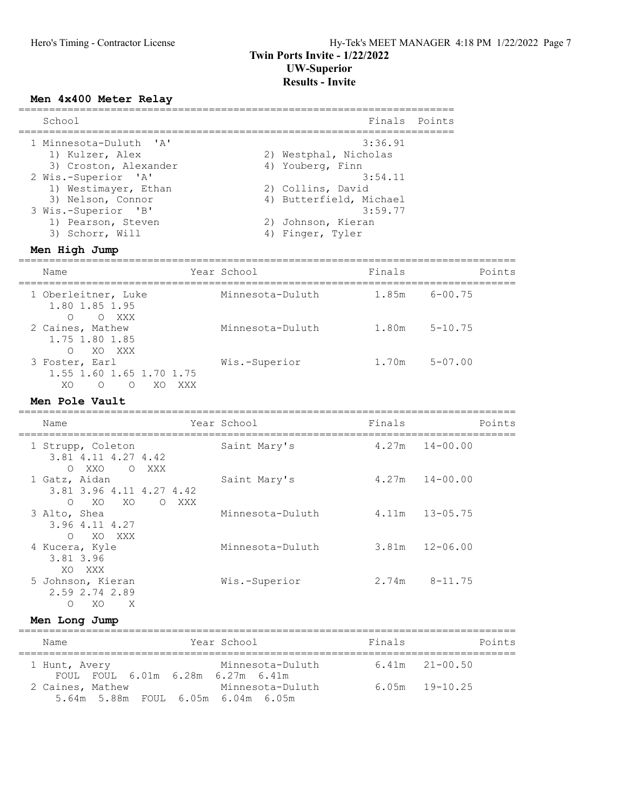#### Men 4x400 Meter Relay

| School                 |             |                         | Finals Points |
|------------------------|-------------|-------------------------|---------------|
| 1 Minnesota-Duluth 'A' |             | 3:36.91                 |               |
| 1) Kulzer, Alex        |             | 2) Westphal, Nicholas   |               |
| 3) Croston, Alexander  |             | 4) Youberg, Finn        |               |
| 2 Wis.-Superior 'A'    |             | 3:54.11                 |               |
| 1) Westimayer, Ethan   |             | 2) Collins, David       |               |
| 3) Nelson, Connor      |             | 4) Butterfield, Michael |               |
| 3 Wis.-Superior 'B'    |             | 3:59.77                 |               |
| 1) Pearson, Steven     |             | 2) Johnson, Kieran      |               |
| 3) Schorr, Will        |             | 4) Finger, Tyler        |               |
| Men High Jump          |             |                         |               |
| Name                   | Year School | Finals                  |               |

#### ================================================================================= 1 Oberleitner, Luke Minnesota-Duluth 1.85m 6-00.75 1.80 1.85 1.95 O O XXX 2 Caines, Mathew Minnesota-Duluth 1.80m 5-10.75

 1.75 1.80 1.85 O XO XXX 3 Foster, Earl Wis.-Superior 1.70m 5-07.00 1.55 1.60 1.65 1.70 1.75 XO O O XO XXX

| Men Pole Vault                                                               |                 |                  |        |                    |
|------------------------------------------------------------------------------|-----------------|------------------|--------|--------------------|
| Name                                                                         |                 | Year School      | Finals | Points             |
| 1 Strupp, Coleton<br>3.81 4.11 4.27 4.42<br>XXO<br>$\circ$<br>$\overline{O}$ | XXX             | Saint Mary's     |        | $4.27m$ $14-00.00$ |
| 1 Gatz, Aidan<br>3.81 3.96 4.11 4.27 4.42<br>XO<br>$\Omega$<br>XO.           | $\Omega$<br>XXX | Saint Mary's     | 4.27m  | $14 - 00.00$       |
| 3 Alto, Shea<br>3.96 4.11 4.27<br>XO XXX<br>$\bigcirc$                       |                 | Minnesota-Duluth | 4.11m  | $13 - 05.75$       |
| 4 Kucera, Kyle<br>3.81 3.96<br>XXX<br>XO.                                    |                 | Minnesota-Duluth | 3.81m  | $12 - 06.00$       |
| 5 Johnson, Kieran<br>2.59 2.74 2.89<br>X<br>XO<br>$\Omega$                   |                 | Wis.-Superior    | 2.74m  | $8 - 11.75$        |

| Men Long Jump                                          |                  |        |                    |
|--------------------------------------------------------|------------------|--------|--------------------|
| Name                                                   | Year School      | Finals | Points             |
| 1 Hunt, Avery<br>FOUL FOUL 6.01m 6.28m 6.27m 6.41m     | Minnesota-Duluth |        | $6.41m$ $21-00.50$ |
| 2 Caines, Mathew<br>5.64m 5.88m FOUL 6.05m 6.04m 6.05m | Minnesota-Duluth |        | $6.05m$ $19-10.25$ |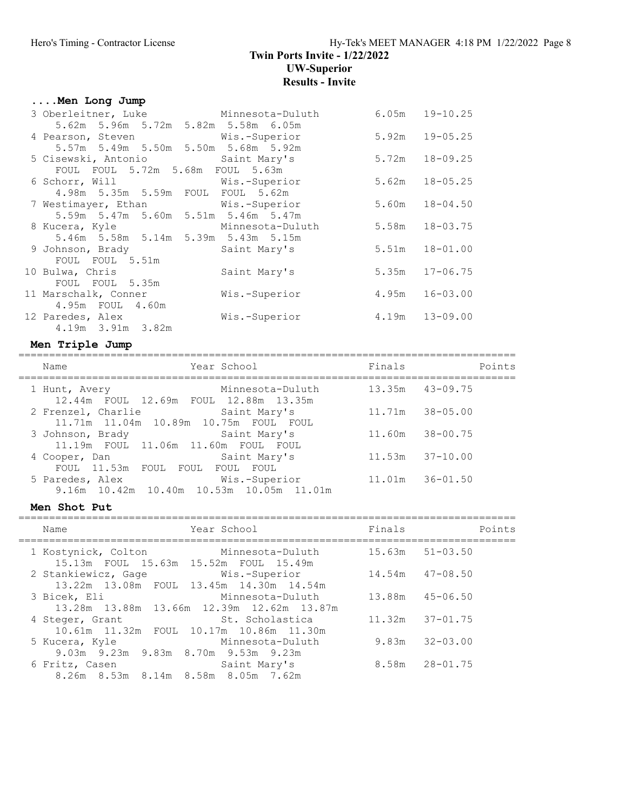### Twin Ports Invite - 1/22/2022 UW-Superior Results - Invite

# ....Men Long Jump

| 3 Oberleitner, Luke Minnesota-Duluth             |               | 6.05m | $19 - 10.25$   |
|--------------------------------------------------|---------------|-------|----------------|
| 5.62m 5.96m 5.72m 5.82m 5.58m 6.05m              |               |       |                |
| 4 Pearson, Steven Wis.-Superior                  |               | 5.92m | $19 - 05.25$   |
| 5.57m 5.49m 5.50m 5.50m 5.68m 5.92m              |               |       |                |
| 5 Cisewski, Antonio                 Saint Mary's |               | 5.72m | $18 - 09.25$   |
| FOUL FOUL 5.72m 5.68m FOUL 5.63m                 |               |       |                |
| 6 Schorr, Will Wis.-Superior                     |               | 5.62m | $18 - 05.25$   |
| 4.98m 5.35m 5.59m FOUL FOUL 5.62m                |               |       |                |
| 7 Westimayer, Ethan Mis.-Superior                |               | 5.60m | $18 - 04.50$   |
| 5.59m 5.47m 5.60m 5.51m 5.46m 5.47m              |               |       |                |
| 8 Kucera, Kyle           Minnesota-Duluth        |               | 5.58m | $18 - 03.75$   |
| 5.46m 5.58m 5.14m 5.39m 5.43m 5.15m              |               |       |                |
| 9 Johnson, Brady Saint Mary's                    |               | 5.51m | $18 - 01.00$   |
| FOUL FOUL 5.51m                                  |               |       |                |
| 10 Bulwa, Chris                                  | Saint Mary's  | 5.35m | $17 - 06.75$   |
| FOUL FOUL 5.35m                                  |               |       |                |
| 11 Marschalk, Conner                             | Wis.-Superior | 4.95m | $16 - 03.00$   |
| 4.95m FOUL 4.60m                                 |               |       |                |
| 12 Paredes, Alex                                 | Wis.-Superior |       | 4.19m 13-09.00 |
| 4.19m 3.91m 3.82m                                |               |       |                |

# Men Triple Jump =================================================================================

| Name                                                             | Year School                                               | Finals              | Points              |
|------------------------------------------------------------------|-----------------------------------------------------------|---------------------|---------------------|
| 1 Hunt, Avery<br>12.44m FOUL 12.69m FOUL 12.88m 13.35m           | Minnesota-Duluth                                          | $13.35m$ $43-09.75$ |                     |
| 2 Frenzel, Charlie<br>11.71m  11.04m  10.89m  10.75m  FOUL  FOUL | Saint Mary's                                              | 11.71m              | $38 - 05.00$        |
| 3 Johnson, Brady<br>11.19m FOUL 11.06m 11.60m FOUL FOUL          | Saint Mary's                                              | 11.60m              | $38 - 00.75$        |
| 4 Cooper, Dan<br>FOUL 11.53m                                     | Saint Mary's<br>FOUL FOUL FOUL FOUL                       |                     | $11.53m$ $37-10.00$ |
| 5 Paredes, Alex                                                  | Wis.-Superior<br>9.16m 10.42m 10.40m 10.53m 10.05m 11.01m | 11.01m              | $36 - 01.50$        |

| Men Shot Put |                                                              |                                                               |        |                     |  |  |
|--------------|--------------------------------------------------------------|---------------------------------------------------------------|--------|---------------------|--|--|
|              | Name                                                         | Year School                                                   | Finals | Points              |  |  |
|              | 1 Kostynick, Colton<br>15.13m FOUL 15.63m 15.52m FOUL 15.49m | Minnesota-Duluth                                              |        | $15.63m$ $51-03.50$ |  |  |
|              | 2 Stankiewicz, Gage Mis.-Superior                            | 13.22m 13.08m FOUL 13.45m 14.30m 14.54m                       |        | $14.54m$ $47-08.50$ |  |  |
|              | 3 Bicek, Eli                                                 | Minnesota-Duluth<br>13.28m 13.88m 13.66m 12.39m 12.62m 13.87m | 13.88m | 45-06.50            |  |  |
|              | 4 Steger, Grant                                              | St. Scholastica<br>10.61m 11.32m FOUL 10.17m 10.86m 11.30m    |        | $11.32m$ $37-01.75$ |  |  |
|              | 5 Kucera, Kyle<br>9.03m 9.23m 9.83m 8.70m 9.53m 9.23m        | Minnesota-Duluth                                              | 9.83m  | $32 - 03.00$        |  |  |
|              | 6 Fritz, Casen<br>8.26m 8.53m 8.14m 8.58m 8.05m 7.62m        | Saint Mary's                                                  |        | 8.58m 28-01.75      |  |  |